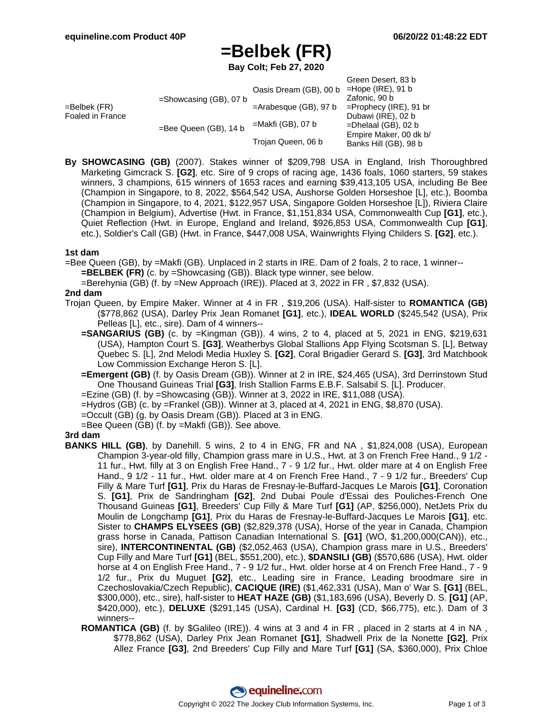# **=Belbek (FR)**

**Bay Colt; Feb 27, 2020**

|                                  |                           |                          | Green Desert, 83 b        |
|----------------------------------|---------------------------|--------------------------|---------------------------|
| =Belbek (FR)<br>Foaled in France | $=$ Showcasing (GB), 07 b | Oasis Dream (GB), 00 b   | $=$ Hope (IRE), 91 b      |
|                                  |                           |                          | Zafonic, 90 b             |
|                                  |                           | $=$ Arabesque (GB), 97 b | $=$ Prophecy (IRE), 91 br |
|                                  | =Bee Queen (GB), 14 b     | $=$ Makfi (GB), 07 b     | Dubawi (IRE), 02 b        |
|                                  |                           |                          | $=$ Dhelaal (GB), 02 b    |
|                                  |                           | Trojan Queen, 06 b       | Empire Maker, 00 dk b/    |
|                                  |                           |                          | Banks Hill (GB), 98 b     |
|                                  |                           |                          |                           |

**By SHOWCASING (GB)** (2007). Stakes winner of \$209,798 USA in England, Irish Thoroughbred Marketing Gimcrack S. **[G2]**, etc. Sire of 9 crops of racing age, 1436 foals, 1060 starters, 59 stakes winners, 3 champions, 615 winners of 1653 races and earning \$39,413,105 USA, including Be Bee (Champion in Singapore, to 8, 2022, \$564,542 USA, Aushorse Golden Horseshoe [L], etc.), Boomba (Champion in Singapore, to 4, 2021, \$122,957 USA, Singapore Golden Horseshoe [L]), Riviera Claire (Champion in Belgium), Advertise (Hwt. in France, \$1,151,834 USA, Commonwealth Cup **[G1]**, etc.), Quiet Reflection (Hwt. in Europe, England and Ireland, \$926,853 USA, Commonwealth Cup **[G1]**, etc.), Soldier's Call (GB) (Hwt. in France, \$447,008 USA, Wainwrights Flying Childers S. **[G2]**, etc.).

### **1st dam**

=Bee Queen (GB), by =Makfi (GB). Unplaced in 2 starts in IRE. Dam of 2 foals, 2 to race, 1 winner-- **=BELBEK (FR)** (c. by =Showcasing (GB)). Black type winner, see below.

=Berehynia (GB) (f. by =New Approach (IRE)). Placed at 3, 2022 in FR , \$7,832 (USA).

### **2nd dam**

- Trojan Queen, by Empire Maker. Winner at 4 in FR , \$19,206 (USA). Half-sister to **ROMANTICA (GB)** (\$778,862 (USA), Darley Prix Jean Romanet **[G1]**, etc.), **IDEAL WORLD** (\$245,542 (USA), Prix Pelleas [L], etc., sire). Dam of 4 winners--
	- **=SANGARIUS (GB)** (c. by =Kingman (GB)). 4 wins, 2 to 4, placed at 5, 2021 in ENG, \$219,631 (USA), Hampton Court S. **[G3]**, Weatherbys Global Stallions App Flying Scotsman S. [L], Betway Quebec S. [L], 2nd Melodi Media Huxley S. **[G2]**, Coral Brigadier Gerard S. **[G3]**, 3rd Matchbook Low Commission Exchange Heron S. [L].
	- **=Emergent (GB)** (f. by Oasis Dream (GB)). Winner at 2 in IRE, \$24,465 (USA), 3rd Derrinstown Stud One Thousand Guineas Trial **[G3]**, Irish Stallion Farms E.B.F. Salsabil S. [L]. Producer.
	- =Ezine (GB) (f. by =Showcasing (GB)). Winner at 3, 2022 in IRE, \$11,088 (USA).
	- =Hydros (GB) (c. by =Frankel (GB)). Winner at 3, placed at 4, 2021 in ENG, \$8,870 (USA).
	- =Occult (GB) (g. by Oasis Dream (GB)). Placed at 3 in ENG.
	- =Bee Queen (GB) (f. by =Makfi (GB)). See above.

#### **3rd dam**

- **BANKS HILL (GB)**, by Danehill. 5 wins, 2 to 4 in ENG, FR and NA , \$1,824,008 (USA), European Champion 3-year-old filly, Champion grass mare in U.S., Hwt. at 3 on French Free Hand., 9 1/2 - 11 fur., Hwt. filly at 3 on English Free Hand., 7 - 9 1/2 fur., Hwt. older mare at 4 on English Free Hand., 9 1/2 - 11 fur., Hwt. older mare at 4 on French Free Hand., 7 - 9 1/2 fur., Breeders' Cup Filly & Mare Turf **[G1]**, Prix du Haras de Fresnay-le-Buffard-Jacques Le Marois **[G1]**, Coronation S. **[G1]**, Prix de Sandringham **[G2]**, 2nd Dubai Poule d'Essai des Pouliches-French One Thousand Guineas **[G1]**, Breeders' Cup Filly & Mare Turf **[G1]** (AP, \$256,000), NetJets Prix du Moulin de Longchamp **[G1]**, Prix du Haras de Fresnay-le-Buffard-Jacques Le Marois **[G1]**, etc. Sister to **CHAMPS ELYSEES (GB)** (\$2,829,378 (USA), Horse of the year in Canada, Champion grass horse in Canada, Pattison Canadian International S. **[G1]** (WO, \$1,200,000(CAN)), etc., sire), **INTERCONTINENTAL (GB)** (\$2,052,463 (USA), Champion grass mare in U.S., Breeders' Cup Filly and Mare Turf **[G1]** (BEL, \$551,200), etc.), **\$DANSILI (GB)** (\$570,686 (USA), Hwt. older horse at 4 on English Free Hand., 7 - 9 1/2 fur., Hwt. older horse at 4 on French Free Hand., 7 - 9 1/2 fur., Prix du Muguet **[G2]**, etc., Leading sire in France, Leading broodmare sire in Czechoslovakia/Czech Republic), **CACIQUE (IRE)** (\$1,462,331 (USA), Man o' War S. **[G1]** (BEL, \$300,000), etc., sire), half-sister to **HEAT HAZE (GB)** (\$1,183,696 (USA), Beverly D. S. **[G1]** (AP, \$420,000), etc.), **DELUXE** (\$291,145 (USA), Cardinal H. **[G3]** (CD, \$66,775), etc.). Dam of 3 winners--
	- **ROMANTICA (GB)** (f. by \$Galileo (IRE)). 4 wins at 3 and 4 in FR , placed in 2 starts at 4 in NA , \$778,862 (USA), Darley Prix Jean Romanet **[G1]**, Shadwell Prix de la Nonette **[G2]**, Prix Allez France **[G3]**, 2nd Breeders' Cup Filly and Mare Turf **[G1]** (SA, \$360,000), Prix Chloe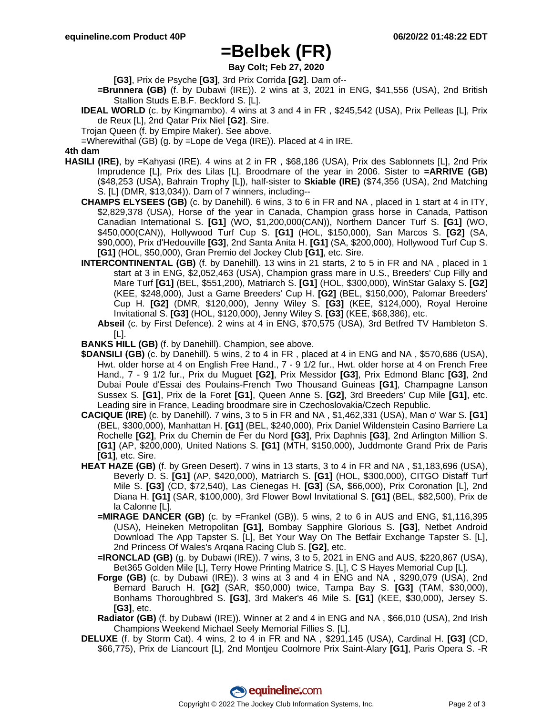## **=Belbek (FR)**

**Bay Colt; Feb 27, 2020**

**[G3]**, Prix de Psyche **[G3]**, 3rd Prix Corrida **[G2]**. Dam of--

- **=Brunnera (GB)** (f. by Dubawi (IRE)). 2 wins at 3, 2021 in ENG, \$41,556 (USA), 2nd British Stallion Studs E.B.F. Beckford S. [L].
- **IDEAL WORLD** (c. by Kingmambo). 4 wins at 3 and 4 in FR , \$245,542 (USA), Prix Pelleas [L], Prix de Reux [L], 2nd Qatar Prix Niel **[G2]**. Sire.
- Trojan Queen (f. by Empire Maker). See above.

=Wherewithal (GB) (g. by =Lope de Vega (IRE)). Placed at 4 in IRE.

## **4th dam**

- **HASILI (IRE)**, by =Kahyasi (IRE). 4 wins at 2 in FR , \$68,186 (USA), Prix des Sablonnets [L], 2nd Prix Imprudence [L], Prix des Lilas [L]. Broodmare of the year in 2006. Sister to **=ARRIVE (GB)** (\$48,253 (USA), Bahrain Trophy [L]), half-sister to **Skiable (IRE)** (\$74,356 (USA), 2nd Matching S. [L] (DMR, \$13,034)). Dam of 7 winners, including--
	- **CHAMPS ELYSEES (GB)** (c. by Danehill). 6 wins, 3 to 6 in FR and NA , placed in 1 start at 4 in ITY, \$2,829,378 (USA), Horse of the year in Canada, Champion grass horse in Canada, Pattison Canadian International S. **[G1]** (WO, \$1,200,000(CAN)), Northern Dancer Turf S. **[G1]** (WO, \$450,000(CAN)), Hollywood Turf Cup S. **[G1]** (HOL, \$150,000), San Marcos S. **[G2]** (SA, \$90,000), Prix d'Hedouville **[G3]**, 2nd Santa Anita H. **[G1]** (SA, \$200,000), Hollywood Turf Cup S. **[G1]** (HOL, \$50,000), Gran Premio del Jockey Club **[G1]**, etc. Sire.
	- **INTERCONTINENTAL (GB)** (f. by Danehill). 13 wins in 21 starts, 2 to 5 in FR and NA , placed in 1 start at 3 in ENG, \$2,052,463 (USA), Champion grass mare in U.S., Breeders' Cup Filly and Mare Turf **[G1]** (BEL, \$551,200), Matriarch S. **[G1]** (HOL, \$300,000), WinStar Galaxy S. **[G2]** (KEE, \$248,000), Just a Game Breeders' Cup H. **[G2]** (BEL, \$150,000), Palomar Breeders' Cup H. **[G2]** (DMR, \$120,000), Jenny Wiley S. **[G3]** (KEE, \$124,000), Royal Heroine Invitational S. **[G3]** (HOL, \$120,000), Jenny Wiley S. **[G3]** (KEE, \$68,386), etc.
		- **Abseil** (c. by First Defence). 2 wins at 4 in ENG, \$70,575 (USA), 3rd Betfred TV Hambleton S. [L].
	- **BANKS HILL (GB)** (f. by Danehill). Champion, see above.
	- **\$DANSILI (GB)** (c. by Danehill). 5 wins, 2 to 4 in FR , placed at 4 in ENG and NA , \$570,686 (USA), Hwt. older horse at 4 on English Free Hand., 7 - 9 1/2 fur., Hwt. older horse at 4 on French Free Hand., 7 - 9 1/2 fur., Prix du Muguet **[G2]**, Prix Messidor **[G3]**, Prix Edmond Blanc **[G3]**, 2nd Dubai Poule d'Essai des Poulains-French Two Thousand Guineas **[G1]**, Champagne Lanson Sussex S. **[G1]**, Prix de la Foret **[G1]**, Queen Anne S. **[G2]**, 3rd Breeders' Cup Mile **[G1]**, etc. Leading sire in France, Leading broodmare sire in Czechoslovakia/Czech Republic.
	- **CACIQUE (IRE)** (c. by Danehill). 7 wins, 3 to 5 in FR and NA , \$1,462,331 (USA), Man o' War S. **[G1]** (BEL, \$300,000), Manhattan H. **[G1]** (BEL, \$240,000), Prix Daniel Wildenstein Casino Barriere La Rochelle **[G2]**, Prix du Chemin de Fer du Nord **[G3]**, Prix Daphnis **[G3]**, 2nd Arlington Million S. **[G1]** (AP, \$200,000), United Nations S. **[G1]** (MTH, \$150,000), Juddmonte Grand Prix de Paris **[G1]**, etc. Sire.
	- **HEAT HAZE (GB)** (f. by Green Desert). 7 wins in 13 starts, 3 to 4 in FR and NA , \$1,183,696 (USA), Beverly D. S. **[G1]** (AP, \$420,000), Matriarch S. **[G1]** (HOL, \$300,000), CITGO Distaff Turf Mile S. **[G3]** (CD, \$72,540), Las Cienegas H. **[G3]** (SA, \$66,000), Prix Coronation [L], 2nd Diana H. **[G1]** (SAR, \$100,000), 3rd Flower Bowl Invitational S. **[G1]** (BEL, \$82,500), Prix de la Calonne [L].
		- **=MIRAGE DANCER (GB)** (c. by =Frankel (GB)). 5 wins, 2 to 6 in AUS and ENG, \$1,116,395 (USA), Heineken Metropolitan **[G1]**, Bombay Sapphire Glorious S. **[G3]**, Netbet Android Download The App Tapster S. [L], Bet Your Way On The Betfair Exchange Tapster S. [L], 2nd Princess Of Wales's Arqana Racing Club S. **[G2]**, etc.
		- **=IRONCLAD (GB)** (g. by Dubawi (IRE)). 7 wins, 3 to 5, 2021 in ENG and AUS, \$220,867 (USA), Bet365 Golden Mile [L], Terry Howe Printing Matrice S. [L], C S Hayes Memorial Cup [L].
		- **Forge (GB)** (c. by Dubawi (IRE)). 3 wins at 3 and 4 in ENG and NA , \$290,079 (USA), 2nd Bernard Baruch H. **[G2]** (SAR, \$50,000) twice, Tampa Bay S. **[G3]** (TAM, \$30,000), Bonhams Thoroughbred S. **[G3]**, 3rd Maker's 46 Mile S. **[G1]** (KEE, \$30,000), Jersey S. **[G3]**, etc.
		- **Radiator (GB)** (f. by Dubawi (IRE)). Winner at 2 and 4 in ENG and NA , \$66,010 (USA), 2nd Irish Champions Weekend Michael Seely Memorial Fillies S. [L].
	- **DELUXE** (f. by Storm Cat). 4 wins, 2 to 4 in FR and NA , \$291,145 (USA), Cardinal H. **[G3]** (CD, \$66,775), Prix de Liancourt [L], 2nd Montjeu Coolmore Prix Saint-Alary **[G1]**, Paris Opera S. -R